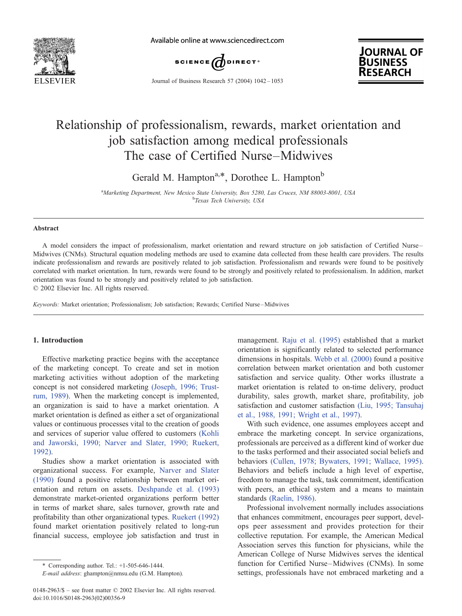

Available online at www.sciencedirect.com



Journal of Business Research 57 (2004) 1042 – 1053



## Relationship of professionalism, rewards, market orientation and job satisfaction among medical professionals The case of Certified Nurse–Midwives

Gerald M. Hampton<sup>a,\*</sup>, Dorothee L. Hampton<sup>b</sup>

<sup>a</sup>Marketing Department, New Mexico State University, Box 5280, Las Cruces, NM 88003-8001, USA<br>bTaxes Tech University, USA <sup>b</sup>Texas Tech University, USA

#### Abstract

A model considers the impact of professionalism, market orientation and reward structure on job satisfaction of Certified Nurse – Midwives (CNMs). Structural equation modeling methods are used to examine data collected from these health care providers. The results indicate professionalism and rewards are positively related to job satisfaction. Professionalism and rewards were found to be positively correlated with market orientation. In turn, rewards were found to be strongly and positively related to professionalism. In addition, market orientation was found to be strongly and positively related to job satisfaction.

 $\odot$  2002 Elsevier Inc. All rights reserved.

Keywords: Market orientation; Professionalism; Job satisfaction; Rewards; Certified Nurse –Midwives

#### 1. Introduction

Effective marketing practice begins with the acceptance of the marketing concept. To create and set in motion marketing activities without adoption of the marketing concept is not considered marketing [\(Joseph, 1996; Trust](#page--1-0)rum, 1989). When the marketing concept is implemented, an organization is said to have a market orientation. A market orientation is defined as either a set of organizational values or continuous processes vital to the creation of goods and services of superior value offered to customers [\(Kohli](#page--1-0) and Jaworski, 1990; Narver and Slater, 1990; Ruekert, 1992).

Studies show a market orientation is associated with organizational success. For example, [Narver and Slater](#page--1-0) (1990) found a positive relationship between market orientation and return on assets. [Deshpande et al. \(1993\)](#page--1-0) demonstrate market-oriented organizations perform better in terms of market share, sales turnover, growth rate and profitability than other organizational types. [Ruekert \(1992\)](#page--1-0) found market orientation positively related to long-run financial success, employee job satisfaction and trust in

management. [Raju et al. \(1995\)](#page--1-0) established that a market orientation is significantly related to selected performance dimensions in hospitals. [Webb et al. \(2000\)](#page--1-0) found a positive correlation between market orientation and both customer satisfaction and service quality. Other works illustrate a market orientation is related to on-time delivery, product durability, sales growth, market share, profitability, job satisfaction and customer satisfaction [\(Liu, 1995; Tansuhaj](#page--1-0) et al., 1988, 1991; Wright et al., 1997).

With such evidence, one assumes employees accept and embrace the marketing concept. In service organizations, professionals are perceived as a different kind of worker due to the tasks performed and their associated social beliefs and behaviors [\(Cullen, 1978; Bywaters, 1991; Wallace, 1995\).](#page--1-0) Behaviors and beliefs include a high level of expertise, freedom to manage the task, task commitment, identification with peers, an ethical system and a means to maintain standards [\(Raelin, 1986\).](#page--1-0)

Professional involvement normally includes associations that enhances commitment, encourages peer support, develops peer assessment and provides protection for their collective reputation. For example, the American Medical Association serves this function for physicians, while the American College of Nurse Midwives serves the identical function for Certified Nurse–Midwives (CNMs). In some settings, professionals have not embraced marketing and a

<sup>\*</sup> Corresponding author. Tel.: +1-505-646-1444.

E-mail address: ghampton@nmsu.edu (G.M. Hampton).

<sup>0148-2963/\$ –</sup> see front matter © 2002 Elsevier Inc. All rights reserved. doi:10.1016/S0148-2963(02)00356-9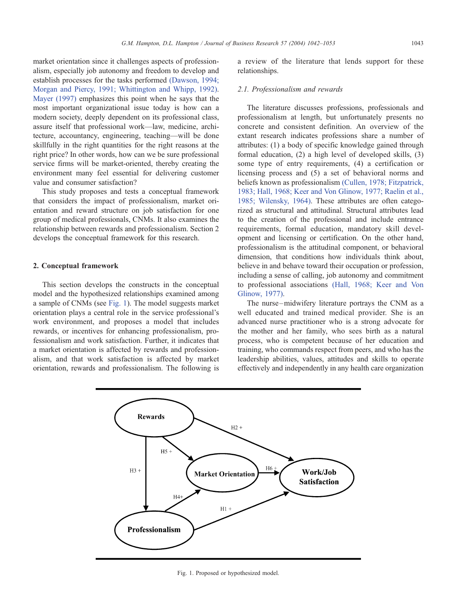market orientation since it challenges aspects of professionalism, especially job autonomy and freedom to develop and establish processes for the tasks performed [\(Dawson, 1994;](#page--1-0) Morgan and Piercy, 1991; Whittington and Whipp, 1992). [Mayer \(1997\)](#page--1-0) emphasizes this point when he says that the most important organizational issue today is how can a modern society, deeply dependent on its professional class, assure itself that professional work—law, medicine, architecture, accountancy, engineering, teaching—will be done skillfully in the right quantities for the right reasons at the right price? In other words, how can we be sure professional service firms will be market-oriented, thereby creating the environment many feel essential for delivering customer value and consumer satisfaction?

This study proposes and tests a conceptual framework that considers the impact of professionalism, market orientation and reward structure on job satisfaction for one group of medical professionals, CNMs. It also examines the relationship between rewards and professionalism. Section 2 develops the conceptual framework for this research.

### 2. Conceptual framework

This section develops the constructs in the conceptual model and the hypothesized relationships examined among a sample of CNMs (see Fig. 1). The model suggests market orientation plays a central role in the service professional's work environment, and proposes a model that includes rewards, or incentives for enhancing professionalism, professionalism and work satisfaction. Further, it indicates that a market orientation is affected by rewards and professionalism, and that work satisfaction is affected by market orientation, rewards and professionalism. The following is a review of the literature that lends support for these relationships.

### 2.1. Professionalism and rewards

The literature discusses professions, professionals and professionalism at length, but unfortunately presents no concrete and consistent definition. An overview of the extant research indicates professions share a number of attributes: (1) a body of specific knowledge gained through formal education, (2) a high level of developed skills, (3) some type of entry requirements, (4) a certification or licensing process and (5) a set of behavioral norms and beliefs known as professionalism [\(Cullen, 1978; Fitzpatrick,](#page--1-0) 1983; Hall, 1968; Keer and Von Glinow, 1977; Raelin et al., 1985; Wilensky, 1964). These attributes are often categorized as structural and attitudinal. Structural attributes lead to the creation of the professional and include entrance requirements, formal education, mandatory skill development and licensing or certification. On the other hand, professionalism is the attitudinal component, or behavioral dimension, that conditions how individuals think about, believe in and behave toward their occupation or profession, including a sense of calling, job autonomy and commitment to professional associations [\(Hall, 1968; Keer and Von](#page--1-0) Glinow, 1977).

The nurse-midwifery literature portrays the CNM as a well educated and trained medical provider. She is an advanced nurse practitioner who is a strong advocate for the mother and her family, who sees birth as a natural process, who is competent because of her education and training, who commands respect from peers, and who has the leadership abilities, values, attitudes and skills to operate effectively and independently in any health care organization



Fig. 1. Proposed or hypothesized model.